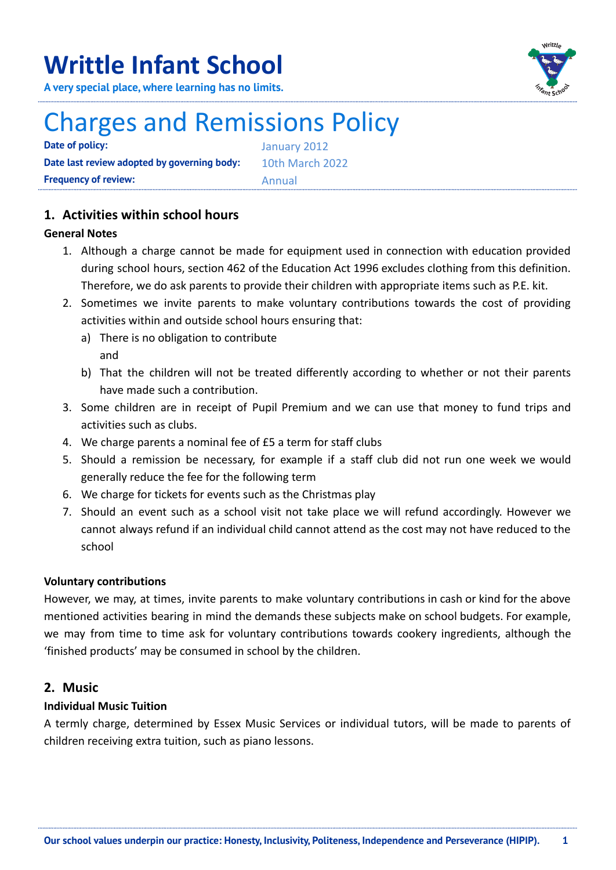## **Writtle Infant School**

**A very special place, where learning has no limits.**



# Charges and Remissions Policy

**Date of policy:** January 2012 **Date last review adopted by governing body:** 10th March 2022 **Frequency of review:** Annual

## **1. Activities within school hours**

## **General Notes**

- 1. Although a charge cannot be made for equipment used in connection with education provided during school hours, section 462 of the Education Act 1996 excludes clothing from this definition. Therefore, we do ask parents to provide their children with appropriate items such as P.E. kit.
- 2. Sometimes we invite parents to make voluntary contributions towards the cost of providing activities within and outside school hours ensuring that:
	- a) There is no obligation to contribute and
	- b) That the children will not be treated differently according to whether or not their parents have made such a contribution.
- 3. Some children are in receipt of Pupil Premium and we can use that money to fund trips and activities such as clubs.
- 4. We charge parents a nominal fee of £5 a term for staff clubs
- 5. Should a remission be necessary, for example if a staff club did not run one week we would generally reduce the fee for the following term
- 6. We charge for tickets for events such as the Christmas play
- 7. Should an event such as a school visit not take place we will refund accordingly. However we cannot always refund if an individual child cannot attend as the cost may not have reduced to the school

## **Voluntary contributions**

However, we may, at times, invite parents to make voluntary contributions in cash or kind for the above mentioned activities bearing in mind the demands these subjects make on school budgets. For example, we may from time to time ask for voluntary contributions towards cookery ingredients, although the 'finished products' may be consumed in school by the children.

## **2. Music**

## **Individual Music Tuition**

A termly charge, determined by Essex Music Services or individual tutors, will be made to parents of children receiving extra tuition, such as piano lessons.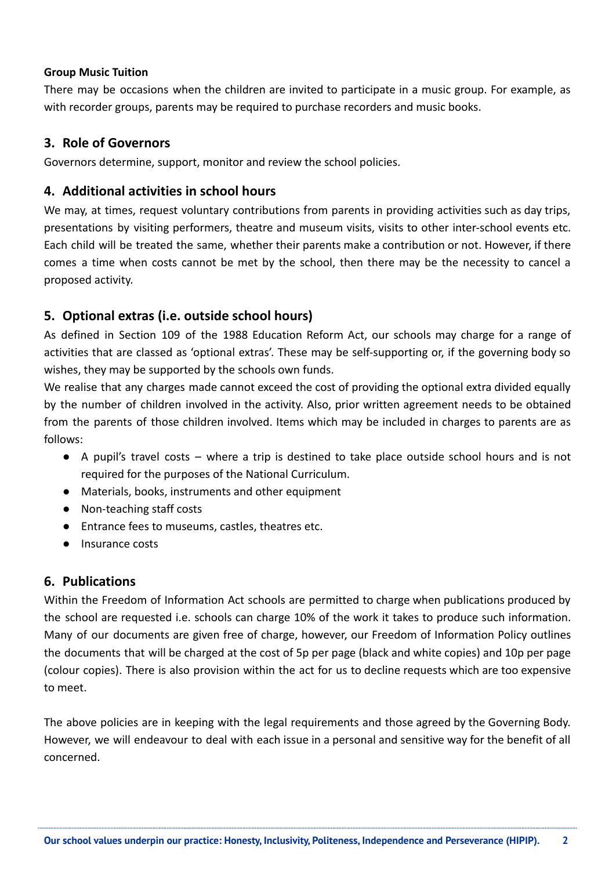#### **Group Music Tuition**

There may be occasions when the children are invited to participate in a music group. For example, as with recorder groups, parents may be required to purchase recorders and music books.

## **3. Role of Governors**

Governors determine, support, monitor and review the school policies.

### **4. Additional activities in school hours**

We may, at times, request voluntary contributions from parents in providing activities such as day trips, presentations by visiting performers, theatre and museum visits, visits to other inter-school events etc. Each child will be treated the same, whether their parents make a contribution or not. However, if there comes a time when costs cannot be met by the school, then there may be the necessity to cancel a proposed activity.

## **5. Optional extras (i.e. outside school hours)**

As defined in Section 109 of the 1988 Education Reform Act, our schools may charge for a range of activities that are classed as 'optional extras'. These may be self-supporting or, if the governing body so wishes, they may be supported by the schools own funds.

We realise that any charges made cannot exceed the cost of providing the optional extra divided equally by the number of children involved in the activity. Also, prior written agreement needs to be obtained from the parents of those children involved. Items which may be included in charges to parents are as follows:

- A pupil's travel costs where a trip is destined to take place outside school hours and is not required for the purposes of the National Curriculum.
- Materials, books, instruments and other equipment
- Non-teaching staff costs
- Entrance fees to museums, castles, theatres etc.
- Insurance costs

#### **6. Publications**

Within the Freedom of Information Act schools are permitted to charge when publications produced by the school are requested i.e. schools can charge 10% of the work it takes to produce such information. Many of our documents are given free of charge, however, our Freedom of Information Policy outlines the documents that will be charged at the cost of 5p per page (black and white copies) and 10p per page (colour copies). There is also provision within the act for us to decline requests which are too expensive to meet.

The above policies are in keeping with the legal requirements and those agreed by the Governing Body. However, we will endeavour to deal with each issue in a personal and sensitive way for the benefit of all concerned.